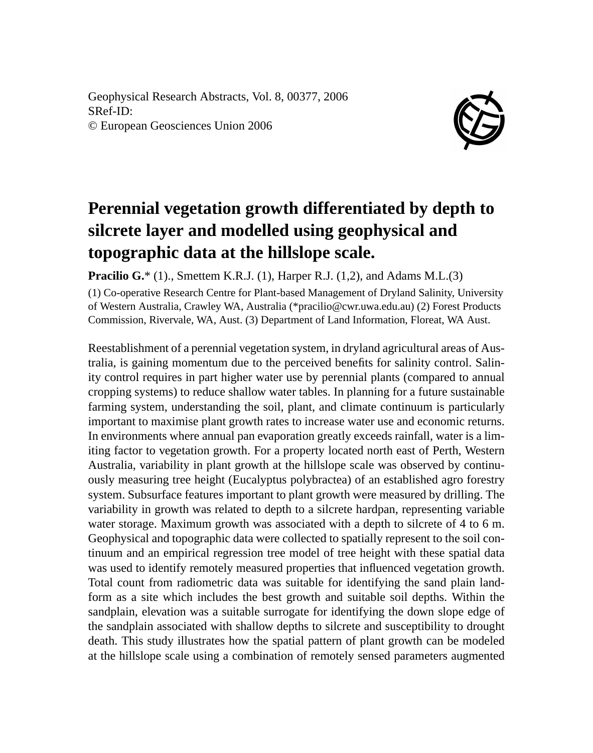Geophysical Research Abstracts, Vol. 8, 00377, 2006 SRef-ID: © European Geosciences Union 2006



## **Perennial vegetation growth differentiated by depth to silcrete layer and modelled using geophysical and topographic data at the hillslope scale.**

**Pracilio G.**\* (1)., Smettem K.R.J. (1), Harper R.J. (1,2), and Adams M.L.(3)

(1) Co-operative Research Centre for Plant-based Management of Dryland Salinity, University of Western Australia, Crawley WA, Australia (\*pracilio@cwr.uwa.edu.au) (2) Forest Products Commission, Rivervale, WA, Aust. (3) Department of Land Information, Floreat, WA Aust.

Reestablishment of a perennial vegetation system, in dryland agricultural areas of Australia, is gaining momentum due to the perceived benefits for salinity control. Salinity control requires in part higher water use by perennial plants (compared to annual cropping systems) to reduce shallow water tables. In planning for a future sustainable farming system, understanding the soil, plant, and climate continuum is particularly important to maximise plant growth rates to increase water use and economic returns. In environments where annual pan evaporation greatly exceeds rainfall, water is a limiting factor to vegetation growth. For a property located north east of Perth, Western Australia, variability in plant growth at the hillslope scale was observed by continuously measuring tree height (Eucalyptus polybractea) of an established agro forestry system. Subsurface features important to plant growth were measured by drilling. The variability in growth was related to depth to a silcrete hardpan, representing variable water storage. Maximum growth was associated with a depth to silcrete of 4 to 6 m. Geophysical and topographic data were collected to spatially represent to the soil continuum and an empirical regression tree model of tree height with these spatial data was used to identify remotely measured properties that influenced vegetation growth. Total count from radiometric data was suitable for identifying the sand plain landform as a site which includes the best growth and suitable soil depths. Within the sandplain, elevation was a suitable surrogate for identifying the down slope edge of the sandplain associated with shallow depths to silcrete and susceptibility to drought death. This study illustrates how the spatial pattern of plant growth can be modeled at the hillslope scale using a combination of remotely sensed parameters augmented